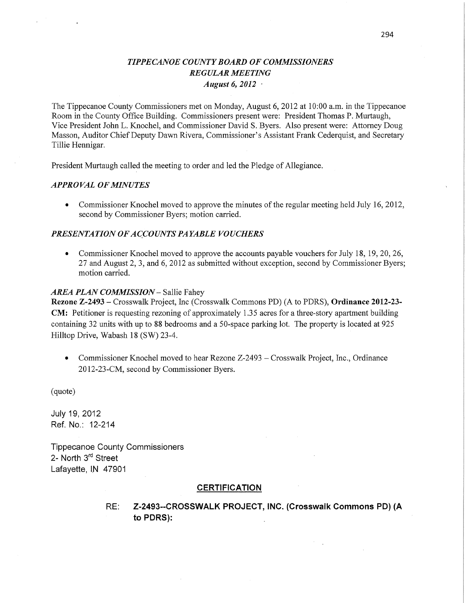## *TIPPE CANOE* C0 *UNTY BOARD* OF *COMMISSIONERS REGULAR MEETING August* 6, *2012* '

The Tippecanoe County Commissioners met on Monday, August 6, 2012 at 10:00 am. in the Tippecanoe Room in the County Office Building. Commissioners present were: President Thomas P. Murtaugh, Vice President John L. Knochel, and Commissioner David S. Byers. Also present were: Attorney Doug Masson, Auditor Chief Deputy Dawn Rivera, Commissioner's Assistant Frank Cederquist, and Secretary Tillie Hennigar.

President Murtaugh called the meeting to order and led the Pledge of Allegiance.

#### *APPROVAL* OF *MINUTES*

• Commissioner Knochel moved to approve the minutes of the regular meeting held July 16, 2012, second by Commissioner Byers; motion carried.

#### *PRESENTATION* OF *ACCOUNTS* PA *YABLE VOUCHERS*

*0* Commissioner Knochel moved to approve the accounts payable vouchers for July 18, 19, 20, 26, 27 and August 2, 3, and 6, 2012 as submitted without exception, second by Commissioner Byers; motion carried.

#### *AREA PLAN COMMISSION* — Sallie Fahey

**Rezone Z-2493 —** Crosswalk Project, Inc (Crosswalk Commons PD) (A to PDRS), **Ordinance 2012-23-**  CM: Petitioner is requesting rezoning of approximately 1.35 acres for a three-story apartment building containing 32 units with up to 88 bedrooms and a 50-space parking lot. The property is located at 925 Hilltop Drive, Wabash 18 (SW) 23—4.

• Commissioner Knochel moved to hear Rezone Z-2493 – Crosswalk Project, Inc., Ordinance 2012-23-CM, second by Commissioner Byers.

(quote)

**July** 19, 2012 Ref. No.: 12-214

Tippecanoe County **Commissioners**  2- **North** 3'd Street Lafayette, IN 47901

#### **CERTIFICATION**

RE: Z-2493--CROSSWALK **PROJECT, INC. (Crosswalk Commons** PD) (A to **PDRS):**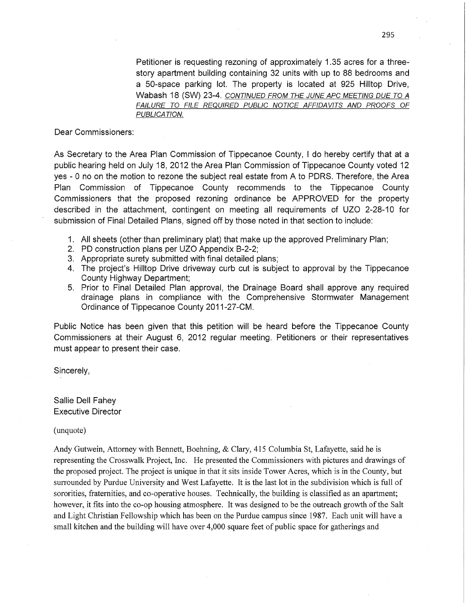Petitioner is requesting rezoning of approximately 1.35 acres for a threestory apartment building containing 32 units with up to 88 bedrooms and a 50-space parking lot. The property is located at 925 Hilltop Drive, Wabash 18 (SW) 23-4. *CONTINUED FROM* THE *JUNE* APC *MEETING* DUE TO *A FAILURE* TO *FILE REQUIRED PUBLIC NOTICE AFFIDAV/TS* AND *PROOFS* OF *PUBLICATION.* 

Dear **Commissioners:** 

As Secretary to the Area Plan Commission of Tippecanoe County, *I* do hereby certify that at **<sup>a</sup>** public hearing held on July 18, 2012 the Area Plan **Commission** of Tippecanoe County voted 12 yes *-* 0 no on the motion to rezone the subject real estate from A to PDRS. Therefore, the Area Plan Commission of Tippecanoe County recommends to the Tippecanoe County Commissioners **that** the 'proposed rezoning ordinance be APPROVED for 'the property described in the attachment, contingent on meeting all requirements of UZO 2-28-10 'for submission of Final Detailed Plans, signed off by those noted in that section to include:

- 1. All sheets (other than preliminary plat) **that** make up the approved Preliminary Plan;
- 2. PD construction plans per UZO Appendix B-2-2;
- 3. Appropriate surety submitted with final detailed plans;
- 4. The project's Hilltop Drive driveway curb cut is **subject** to approval by the Tippecanoe County Highway Department;
- 5. Prior to Final Detailed Plan approval, the Drainage Board shall approve any required drainage plans in compliance with the Comprehensive Stormwater Management Ordinance of Tippecanoe County 2011-27—CM.

Public Notice has been given that **this** petition will be heard before the Tippecanoe County **Commissioners** at **their** August 6, 2012 regular meeting. Petitioners or their representatives must appear to present their case.

Sincerely,

Sallie Dell Fahey Executive Director

(unquote)

Andy Gutwein, Attorney with Bennett, Boehning, & Clary, 415 Columbia St, Lafayette, said he is representing the Crosswalk Project, Inc. He presented the Commissioners with pictures and drawings of the proposed project. The project is unique in that it sits inside Tower Acres, which is in the County, but surrounded by Purdue University and West Lafayette. It is the last lot in the subdivision which is full of sororities, fraternities, and co-operative houses. Technically, the building is classified as an apartment; however, it fits into the co-op housing atmosphere. It was designed to be the outreach growth of the Salt and Light Christian Fellowship which has been on the Purdue campus since 1987. Each unit will have **<sup>a</sup>** small kitchen and the building will have over 4,000 square feet of public space for gatherings and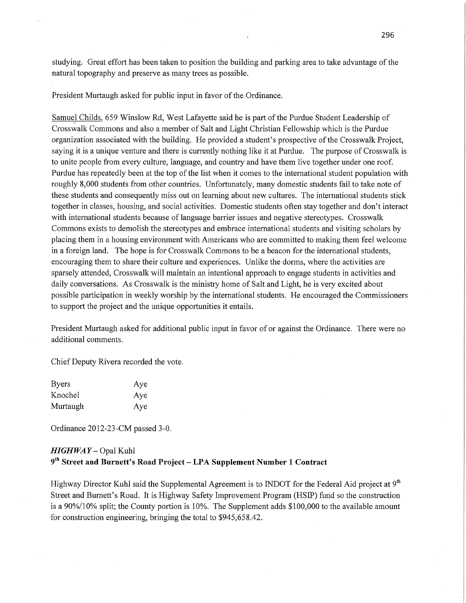studying. Great effort has been taken to position the building and parking area to take advantage of the natural topography and preserve as many trees as possible.

President Murtaugh asked for public input in favor of the Ordinance.

Samuel Childs, 659 Winslow Rd, West Lafayette said he is part of the Purdue Student Leadership of CrossWalk Commons and also a member of Salt and Light Christian Fellowship which is the Purdue organization associated with the building. He provided a student's prospective of the Crosswalk Project, saying it is a unique venture and there is currently nothing like it at Purdue. The purpose of Crosswalk is to unite people from every culture, language, and country and have them live together under one roof. Purdue has repeatedly been at the top of the list when it comes to the international student population with roughly 8,000 students from other countries. Unfortunately, many domestic students fail to take note of these students and consequently miss out on learning about new cultures. The international students stick together in classes, housing, and social activities. Domestic students often stay together and don't interact with international students because of language barrier issues and negative stereotypes. Crosswalk Commons exists to demolish the stereotypes and embrace international students and Visiting scholars by placing them in a housing environment With Americans who are committed to making them feel welcome in a foreign land. The hope is for Crosswalk Commons to be a beacon for the interriational students, encouraging them to share their culture and experiences. Unlike the dorms, where the activities are sparsely attended, Crosswalk will maintain an intentional approach to engage students in activities and daily conversations. As Crosswalk is the ministry home of Salt and Light, he is very excited about possible participation in weekly worship by the international students. He encouraged the Commissioners to support the project and the unique opportunities it entails.

President Murtaugh asked for additional public input in favor of or against the Ordinance. There were no additional comments.

Chief Deputy Rivera recorded the vote.

| <b>Byers</b> | Aye |
|--------------|-----|
| Knochel      | Aye |
| Murtaugh     | Aye |

Ordinance 2012-23 -CM passed 3-0.

## *HIGHWAY* — Opal Kuhl 9th **Street** and **Burnett's Road Project —** LPA Supplement **Number** 1 **Contract**

Highway Director Kuhl said the Supplemental Agreement is to INDOT for the Federal Aid project at  $9<sup>th</sup>$ Street and Burnett's Road. It is Highway Safety Improvement Program **(HSlP)** fund so the construction is a 90%/10% split; the County portion is 10%. The Supplement adds \$100,000 to the available amount *'for* construction engineering, bringing the total to \$945,658.42.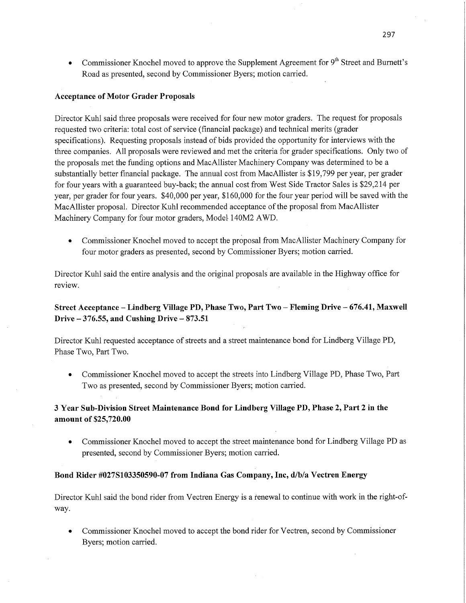• Commissioner Knochel moved to approve the Supplement Agreement for 9<sup>th</sup> Street and Burnett's Road as presented, second by Commissioner Byers; motion carried.

#### **Acceptance** of **Motor Grader PropoSals**

Director Kuhl said three proposals were received for four new motor graders. The request for proposals requested two criteria: total cost of service (financial package) and technical merits (grader specifications). Requesting proposals instead of bids provided the opportunity for interviews with the three companies. All proposals were reviewed and met the criteria for grader specifications. Only two of the proposals met the funding options and MacAllister Machinery Company was determined to be <sup>a</sup> substantially better financial package. The annual cost from MacAllister is \$19,799 per year, per grader for four years with a guaranteed buy-back; the annual cost from West Side Tractor Sales is \$29,214 per year, per grader for four years. \$40,000 per year, \$160,000 for the four year period will be saved with the MacAllister proposal. Director Kuhl recommended acceptance of the proposal from MacAllister Machinery Company for four motor graders, Model- 140M2 **AWD.** 

• Commissioner Knochel moved to accept the proposal from MacAllister Machinery Company for four motor graders as presented, second by Commissioner Byers; motion carried.

Director Kuhl said the entire analysis and the original proposalé are available in the Highway office for review.

## **Street Acceptance** *—* **Lindberg Village** PD, **Phase Two, Part** Two **—** Fleming **Drive** -— **676.41, Maxwell Drive** —- **376.55,** and **Cushing Drive** — **873.51**

Director Kuhl requested acceptance of streets and a street maintenance bond for Lindberg Village PD, Phase Two, Part Two.

**0** Commissioner Knochel moved to accept the streets into Lindberg Village PD, Phase Two, Part Two as presented, second by Commissioner Byers; motion carried.

## 3 **Year** Sub-Division **Street Maintenance Bond** for **Lindberg Village** PD, **Phase** 2, **Part 2** in the amount of **\$25,720.00**

**0** Commissioner Knochel moved to accept the street maintenance bond for Lindberg Village PD as presented, second by Commissioner Byers; motion carried.

#### **Bond Rider #027S103350590-07 from Indiana** Gas **Company, Inc, d/b/a Vectren Energy**

Director Kuhl said the bond rider from Vectren Energy is a renewal to continue with work in the right-ofway.

**0** Commissioner Knochel moved to accept the bond rider for Vectren, second by Commissioner Byers; motion carried.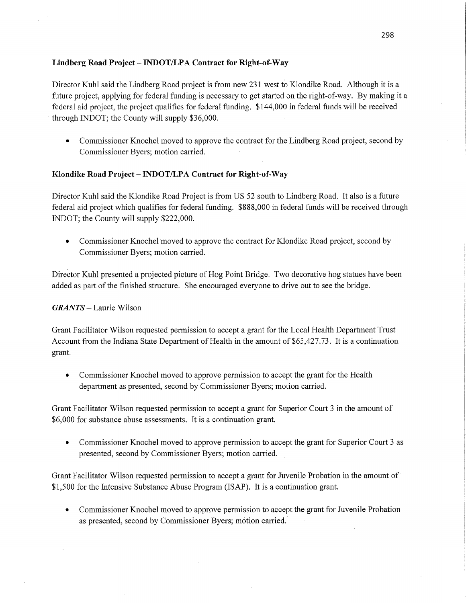## **Lindberg Road Project** —— **INDOT/LPA Contract** for Right-of-Way

Director Kuhl said the Lindberg Road project is from new 231 west to Klondike Road. Although it is a future project, applying for federal funding is necessary to get started on the right-of—way. By making it <sup>a</sup> federal aid project, the project qualifies for federal funding. \$144,000 in federal funds will be received through INDOT; the County will supply \$36,000.

**0** Commissioner Knochel moved to approve the contract for the Lindberg Road project, second by Commissioner Byers; motion carried.

## **Klondike Road Project** *—* **INDOT/LPA Contract** for **Right-of-Way** '

Director Kuhl said the Klondike Road Project is from US 52 south to Lindberg Road. It also is a future federal aid project which qualifies for federal funding. \$888,000 in federal funds will be received through INDOT; the County will supply \$222,000.

- Commissioner Knochel moved to approve the contract for Klondike Road project, second by Commissioner Byers; motion carried.
- Director Kuhl presented a projected picture of Hog Point Bridge. Two decorative hog statues have been added as part of the finished structure. She encouraged everyone to drive out to see the bridge.

## *GRANTS —* Laurie Wilson

Grant Facilitator Wilson requested permission to accept <sup>a</sup>grant for the Local Health Department Trust Account from the **Indiana** State Department of Health in the amount of \$65,427.73. It is a continuation grant.

• Commissioner Knochel moved to approve permission to accept the grant for the Health department as presented, second by Commissioner Byers; motion carried.

Grant Facilitator Wilson requested permission to accept <sup>a</sup>grant for Superior Court 3 in the amount of \$6,000 for substance abuse assessments. It is a continuation grant.

• Commissioner Knochel moved to approve permission to accept the grant for Superior Court 3 as presented, second by Commissioner Byers; motion carried.

Grant Facilitator Wilson requested permission to accept <sup>a</sup>grant for Juvenile Probation in the amount of \$1,500 for the Intensive Substance Abuse Program **(ISAP).** It is a continuation grant.

*0* Commissioner Knochel moved to approve permission to accept the grant for Juvenile Probation as presented, second by Commissioner Byers; motion carried.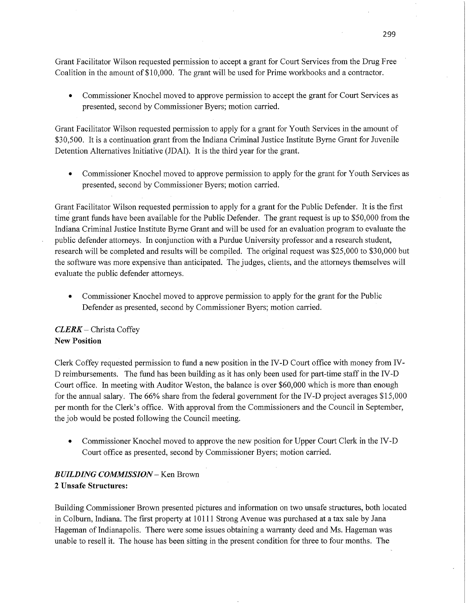Grant Facilitator Wilson requested permission to accept a grant for Court Services from the Drug Free Coalition in the amount of **\$10,000.** The grant will be used for Prime workbooks and a contractor.

**0** Commissioner Knochel moved to approve permission to accept the grant for Court Services as presented, second by Commissioner Byers; motion carried.

Grant Facilitator Wilson requested permission to apply for a grant for Youth Services in the amount of \$30,500. It is a continuation grant from the Indiana Criminal Justice Institute Byrne Grant for Juvenile Detention Alternatives Initiative (JDAI). It is the third year for the grant.

• Commissioner Knochel moved to approve permission to apply for the grant for Youth Services as presented, second by Commissioner Byers; motion carried.

Grant Facilitator Wilson requested permission to apply for a grant for the Public Defender. It is the first time grant funds have been available for the Public Defender. The grant request is up to \$50, 000 from the Indiana Criminal Justice Institute Byrne Grant and will be used for an evaluation program to evaluate the public defender attorneys. In conjunction with a Purdue University professor and a research student, research will be completed and results will be compiled. The original request was \$25, 000 to \$30,000 but the software was more expensive than anticipated. The judges, clients, and the attorneys themselves will evaluate the public defender attorneys

**-** Commissioner Knochel moved to approve permission to apply for the grant for the Public Defender as presented, second by Commissioner Byers; motion carried.

## *CLERK* **—** Christa Coffey New **Position**

Clerk Coffey requested permissionto fund a new position in the IV -D Court office with money from IV *-* D reimbursements. The **fund** has been building as it has only been used for part-time staff in the IV-D Court office. In meeting with Auditor Weston, the balance is over \$60,000 which is more than enough for the annual salary. The  $66\%$  share from the federal government for the IV-D project averages  $$15,000$ per month for the Clerk's office. With approval from the Commissioners and the Council in September, the job would be posted following the Council meeting.

**0** Commissioner Knochel moved to approve the new position for Upper Court Clerk in the IV -D Court office as presented, second by Commissioner Byers; motion carried.

## *BUILDING COMMISSION* —— Ken Brown **I**

## **2 Unsafe Structures:**

Building Commissioner Brown presented pictures and information on two unsafe structures, both located in Colburn, Indiana. The first property at 10111 Strong Avenue was purchased at a tax sale by Jana Hageman of Indianapolis. There were some issues obtaining a warranty deed and Ms. Hageman was unable to resell it. The house has been sitting in the present condition for three to four months. The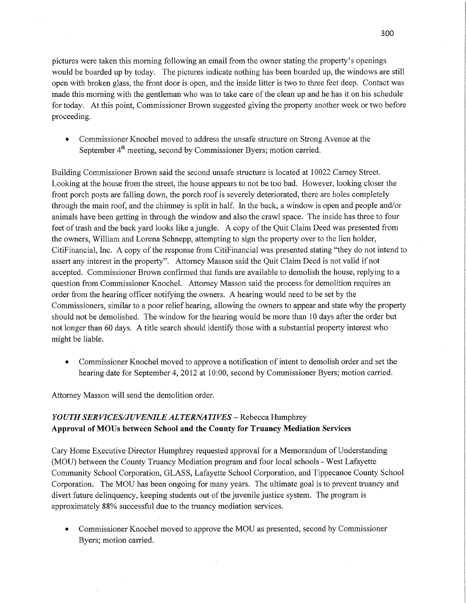<sup>p</sup>ictures were taken this morning following an email from the owner stating the property's openings would be boarded up by today. The pictures indicate nothing has been boarded up, the Windows are still open With broken glass, the front door is open, and the inside litter is two to three feet deep. Contact was made this morning with the gentleman who was to take care of the clean up and he has it on his schedule for today. At this point, Commissioner Brown suggested giving the property another week or two before proceeding.

• Commissioner Knochel moved to address the unsafe structure on Strong Avenue at the September  $4<sup>th</sup>$  meeting, second by Commissioner Byers; motion carried.

Building Commissioner Brown said the second unsafe structure is located at 10022 Carney Street. Looking at the house from the street, the house appears to not be too bad. However, looking closer the front porch posts are falling down, the porch roof is severely deteriorated, there are holes completely through the main roof, and the chimney is split in half. In the back, a window is open and people and/or animals have been getting in through the Window and also the crawl space. The inside has three to four feet of trash and the back yard looks like a jungle. A copy of the Quit Claim Deed was presented from the owners, William and Lorena Schnepp, attempting to sign the property over to the lien holder, CitiFinancial, Inc. A copy of the response from CitiFinanciaI was presented stating "they do not intend to assert any interest in the property". Attorney Masson said the Quit Claim Deed is not valid if not accepted. Commissioner Brown confirmed that funds are available to demolish the house, replying to <sup>a</sup> question from Commissioner Knochel. Attorney Masson said the process for demolition requires an order from the hearing officer notifying the owners. A hearing would need to be set by the Commissioners, similar to a poor relief hearing, allowing the owners to appear and state Why the property should not be demolished. The Window for the hearing would be more than 10 days after the order but not longer than 60 days. **A** title search should identify those with a substantial property interest who might be liable.

• Commissioner Knochel moved to approve a notification of intent to demolish order and set the hearing date for September 4, 2012 at 10:00, second by Commissioner Byers; motion carried.

Attorney Masson will **send** the demolition order.

## *YOUTH* SER *VICES/J U VENILE ALTERNATIVES* **—** Rebecca Humphrey **Approval** of **MOUs between School** and the **County** for **Truancy Mediation Services**

Cary Home Executive Director Humphrey requested approval for a Memorandum of Understanding (MOU) between the County Truancy Mediation program and four local schools *-* West Lafayette Community School Corporation, GLASS, Lafayette School Corporation, and Tippecanoe County School Corporation. The MOU has been ongoing for many years. The ultimate goal is to prevent truancy and divert future delinquency, keeping students out of the juvenile justice system. The program is approximately 88% successful due to the truancy mediation services.

• Commissioner Knochel moved to approve the MOU as presented, second by Commissioner Byers; motion carried.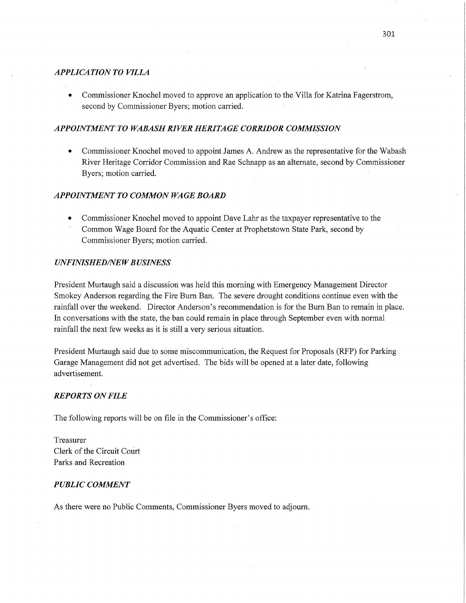#### *APPLICATION TO VILLA*

**0** Commissioner Knochel moved to approve an application to the Villa for Katrina Fagerstrom, second by Commissioner Byers; motion carried.

#### *APPOINTMENT T 0 WABASH RIVER HERITAGE CORRIDOR COMMISSION*

**0** Commissioner Knochel moved to appoint James A. Andrew as the representative for the Wabash River Heritage Corridor Commission and Rae Schnapp as an alternate, second by Commissioner Byers; motion carried.

#### *APPOINTMENT* T0 *COMMON* WA GE *BOARD*

**0** Commissioner Knochel moved to appoint Dave Lahr as the taxpayer representative to the Common Wage Board for the Aquatic Center at Prophetstown State Park, second by Commissioner Byers; motion carried.

#### *UNFINISHED/NEW BUSINESS*

President Murtaugh said **a** discussion was held this morning with Emergency Management Director Smokey Anderson regarding the Fire Burn Ban. The severe drought conditions continue even with the rainfall over the weekend. Director Anderson's recommendation is for the Burn Ban to remain in place. In conversations with the state, the ban could remain in place through September even with normal rainfall the next few weeks as it is still <sup>a</sup>very serious situation.

President Murtaugh said due to some miscommunication, the Request for Proposals (RFP) for Parking Garage Management did not get advertised. The bids will be opened at a later date, following advertisement.

#### *REPORTS* ON *FILE*

The following reports will be on file in the Commissioner's office:

Treasurer Clerk of the Circuit Court Parks and Recreation

#### *PUBLIC COMMENT*

As there were no Public Comments, Commissioner Byers moved to adjourn.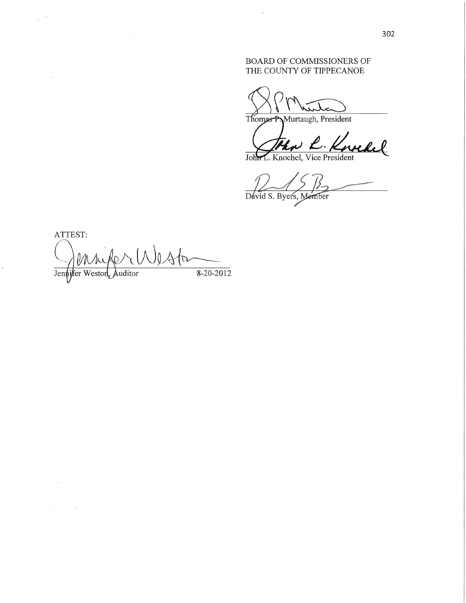## BOARD OF COMMISSIONERS OF THE COUNTY OF TIPPECANOE

White

Thomas P.Murtaugh, President

John R. Knochel

 $\sqrt{12p}$ 

 $\sim$   $\sim$ 

Dévid S. Byers,

**ATTEST:**   $\sigma$ Jennifer Weston, Auditor 8-20-2012

 $\mathcal{A}$ 

 $\bar{\Delta}$